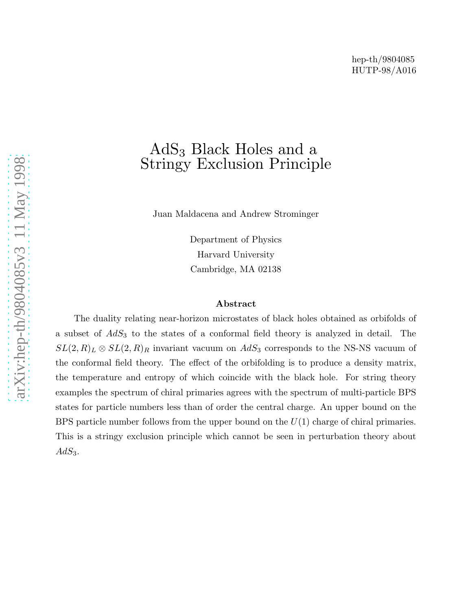# AdS<sup>3</sup> Black Holes and a Stringy Exclusion Principle

Juan Maldacena and Andrew Strominger

Department of Physics Harvard University Cambridge, MA 02138

#### Abstract

The duality relating near-horizon microstates of black holes obtained as orbifolds of a subset of  $AdS<sub>3</sub>$  to the states of a conformal field theory is analyzed in detail. The  $SL(2, R)_L \otimes SL(2, R)_R$  invariant vacuum on  $AdS_3$  corresponds to the NS-NS vacuum of the conformal field theory. The effect of the orbifolding is to produce a density matrix, the temperature and entropy of which coincide with the black hole. For string theory examples the spectrum of chiral primaries agrees with the spectrum of multi-particle BPS states for particle numbers less than of order the central charge. An upper bound on the BPS particle number follows from the upper bound on the  $U(1)$  charge of chiral primaries. This is a stringy exclusion principle which cannot be seen in perturbation theory about  $AdS_3$ .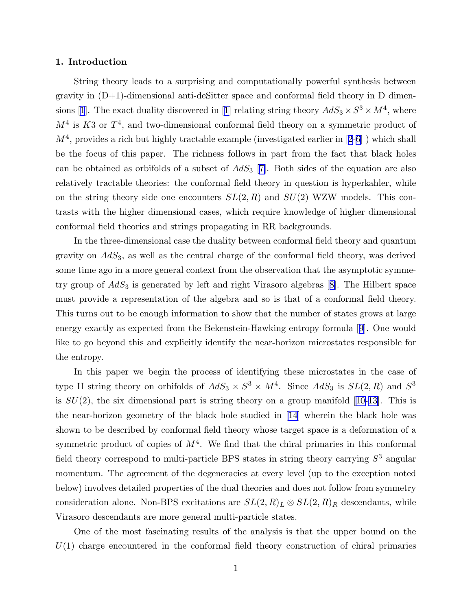## 1. Introduction

String theory leads to a surprising and computationally powerful synthesis between gravity in (D+1)-dimensional anti-deSitter space and conformal field theory in D dimen-sions [\[1](#page-24-0)].The exact duality discovered in [[1](#page-24-0)] relating string theory  $AdS_3 \times S^3 \times M^4$ , where  $M<sup>4</sup>$  is K3 or  $T<sup>4</sup>$ , and two-dimensional conformal field theory on a symmetric product of  $M^4$ ,provides a rich but highly tractable example (investigated earlier in [[2-6\]](#page-24-0)) which shall be the focus of this paper. The richness follows in part from the fact that black holes can be obtained as orbifolds of a subset of  $AdS_3$  [[7\]](#page-24-0). Both sides of the equation are also relatively tractable theories: the conformal field theory in question is hyperkahler, while on the string theory side one encounters  $SL(2, R)$  and  $SU(2)$  WZW models. This contrasts with the higher dimensional cases, which require knowledge of higher dimensional conformal field theories and strings propagating in RR backgrounds.

In the three-dimensional case the duality between conformal field theory and quantum gravity on  $AdS<sub>3</sub>$ , as well as the central charge of the conformal field theory, was derived some time ago in a more general context from the observation that the asymptotic symmetrygroup of  $AdS_3$  is generated by left and right Virasoro algebras [[8\]](#page-24-0). The Hilbert space must provide a representation of the algebra and so is that of a conformal field theory. This turns out to be enough information to show that the number of states grows at large energy exactly as expected from the Bekenstein-Hawking entropy formula[[9\]](#page-24-0). One would like to go beyond this and explicitly identify the near-horizon microstates responsible for the entropy.

In this paper we begin the process of identifying these microstates in the case of type II string theory on orbifolds of  $AdS_3 \times S^3 \times M^4$ . Since  $AdS_3$  is  $SL(2, R)$  and  $S^3$ is $SU(2)$ , the six dimensional part is string theory on a group manifold [[10-13\]](#page-24-0). This is the near-horizon geometry of the black hole studied in [\[14](#page-24-0)] wherein the black hole was shown to be described by conformal field theory whose target space is a deformation of a symmetric product of copies of  $M<sup>4</sup>$ . We find that the chiral primaries in this conformal field theory correspond to multi-particle BPS states in string theory carrying  $S<sup>3</sup>$  angular momentum. The agreement of the degeneracies at every level (up to the exception noted below) involves detailed properties of the dual theories and does not follow from symmetry consideration alone. Non-BPS excitations are  $SL(2, R)_L \otimes SL(2, R)_R$  descendants, while Virasoro descendants are more general multi-particle states.

One of the most fascinating results of the analysis is that the upper bound on the  $U(1)$  charge encountered in the conformal field theory construction of chiral primaries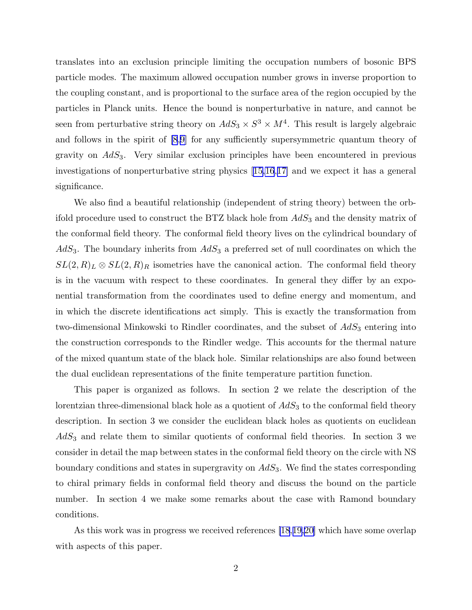translates into an exclusion principle limiting the occupation numbers of bosonic BPS particle modes. The maximum allowed occupation number grows in inverse proportion to the coupling constant, and is proportional to the surface area of the region occupied by the particles in Planck units. Hence the bound is nonperturbative in nature, and cannot be seen from perturbative string theory on  $AdS_3 \times S^3 \times M^4$ . This result is largely algebraic and follows in the spirit of [\[8](#page-24-0),[9\]](#page-24-0) for any sufficiently supersymmetric quantum theory of gravity on  $AdS<sub>3</sub>$ . Very similar exclusion principles have been encountered in previous investigations of nonperturbative string physics[[15,16](#page-24-0),[17\]](#page-24-0) and we expect it has a general significance.

We also find a beautiful relationship (independent of string theory) between the orbifold procedure used to construct the BTZ black hole from  $AdS_3$  and the density matrix of the conformal field theory. The conformal field theory lives on the cylindrical boundary of  $AdS<sub>3</sub>$ . The boundary inherits from  $AdS<sub>3</sub>$  a preferred set of null coordinates on which the  $SL(2, R)_L \otimes SL(2, R)_R$  isometries have the canonical action. The conformal field theory is in the vacuum with respect to these coordinates. In general they differ by an exponential transformation from the coordinates used to define energy and momentum, and in which the discrete identifications act simply. This is exactly the transformation from two-dimensional Minkowski to Rindler coordinates, and the subset of  $AdS<sub>3</sub>$  entering into the construction corresponds to the Rindler wedge. This accounts for the thermal nature of the mixed quantum state of the black hole. Similar relationships are also found between the dual euclidean representations of the finite temperature partition function.

This paper is organized as follows. In section 2 we relate the description of the lorentzian three-dimensional black hole as a quotient of  $AdS<sub>3</sub>$  to the conformal field theory description. In section 3 we consider the euclidean black holes as quotients on euclidean  $AdS<sub>3</sub>$  and relate them to similar quotients of conformal field theories. In section 3 we consider in detail the map between states in the conformal field theory on the circle with NS boundary conditions and states in supergravity on  $AdS_3$ . We find the states corresponding to chiral primary fields in conformal field theory and discuss the bound on the particle number. In section 4 we make some remarks about the case with Ramond boundary conditions.

As this work was in progress we received references [\[18](#page-24-0),[19,20\]](#page-24-0) which have some overlap with aspects of this paper.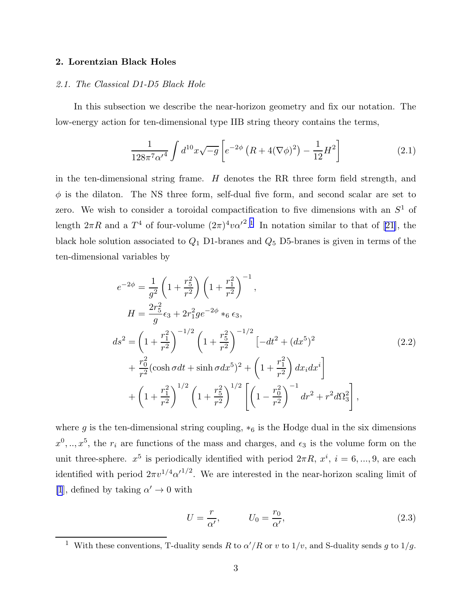# <span id="page-3-0"></span>2. Lorentzian Black Holes

# 2.1. The Classical D1-D5 Black Hole

In this subsection we describe the near-horizon geometry and fix our notation. The low-energy action for ten-dimensional type IIB string theory contains the terms,

$$
\frac{1}{128\pi^7\alpha'^4} \int d^{10}x \sqrt{-g} \left[ e^{-2\phi} \left( R + 4(\nabla\phi)^2 \right) - \frac{1}{12} H^2 \right] \tag{2.1}
$$

in the ten-dimensional string frame.  $H$  denotes the RR three form field strength, and  $\phi$  is the dilaton. The NS three form, self-dual five form, and second scalar are set to zero. We wish to consider a toroidal compactification to five dimensions with an  $S^1$  of length $2\pi R$  and a  $T^4$  of four-volume  $(2\pi)^4 v {\alpha'}^2$ <sup>1</sup>. In notation similar to that of [[21](#page-24-0)], the black hole solution associated to  $Q_1$  D1-branes and  $Q_5$  D5-branes is given in terms of the ten-dimensional variables by

$$
e^{-2\phi} = \frac{1}{g^2} \left( 1 + \frac{r_5^2}{r^2} \right) \left( 1 + \frac{r_1^2}{r^2} \right)^{-1},
$$
  
\n
$$
H = \frac{2r_5^2}{g} \epsilon_3 + 2r_1^2 g e^{-2\phi} *_{6} \epsilon_3,
$$
  
\n
$$
ds^2 = \left( 1 + \frac{r_1^2}{r^2} \right)^{-1/2} \left( 1 + \frac{r_5^2}{r^2} \right)^{-1/2} \left[ -dt^2 + (dx^5)^2 \right.
$$
  
\n
$$
+ \frac{r_0^2}{r^2} (\cosh \sigma dt + \sinh \sigma dx^5)^2 + \left( 1 + \frac{r_1^2}{r^2} \right) dx_i dx^i
$$
  
\n
$$
+ \left( 1 + \frac{r_1^2}{r^2} \right)^{1/2} \left( 1 + \frac{r_5^2}{r^2} \right)^{1/2} \left[ \left( 1 - \frac{r_0^2}{r^2} \right)^{-1} dr^2 + r^2 d\Omega_3^2 \right],
$$
\n(2.2)

where g is the ten-dimensional string coupling,  $*_6$  is the Hodge dual in the six dimensions  $x^0, \ldots, x^5$ , the  $r_i$  are functions of the mass and charges, and  $\epsilon_3$  is the volume form on the unit three-sphere.  $x^5$  is periodically identified with period  $2\pi R$ ,  $x^i$ ,  $i = 6, ..., 9$ , are each identified with period  $2\pi v^{1/4} {\alpha'}^{1/2}$ . We are interested in the near-horizon scaling limit of [\[1](#page-24-0)], defined by taking  $\alpha'\to 0$  with

$$
U = \frac{r}{\alpha'}, \qquad U_0 = \frac{r_0}{\alpha'}, \tag{2.3}
$$

<sup>&</sup>lt;sup>1</sup> With these conventions, T-duality sends R to  $\alpha'/R$  or v to  $1/v$ , and S-duality sends g to  $1/g$ .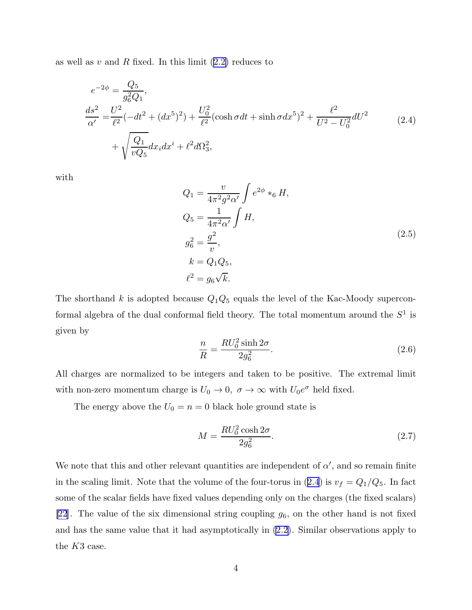<span id="page-4-0"></span>as well as v and R fixed. In this limit  $(2.2)$  reduces to

$$
e^{-2\phi} = \frac{Q_5}{g_6^2 Q_1},
$$
  
\n
$$
\frac{ds^2}{\alpha'} = \frac{U^2}{\ell^2} (-dt^2 + (dx^5)^2) + \frac{U_0^2}{\ell^2} (\cosh \sigma dt + \sinh \sigma dx^5)^2 + \frac{\ell^2}{U^2 - U_0^2} dU^2
$$
\n
$$
+ \sqrt{\frac{Q_1}{vQ_5}} dx_i dx^i + \ell^2 d\Omega_3^2,
$$
\n(2.4)

with

$$
Q_1 = \frac{v}{4\pi^2 g^2 \alpha'} \int e^{2\phi} *_6 H,
$$
  
\n
$$
Q_5 = \frac{1}{4\pi^2 \alpha'} \int H,
$$
  
\n
$$
g_6^2 = \frac{g^2}{v},
$$
  
\n
$$
k = Q_1 Q_5,
$$
  
\n
$$
\ell^2 = g_6 \sqrt{k}.
$$
  
\n(2.5)

The shorthand k is adopted because  $Q_1Q_5$  equals the level of the Kac-Moody superconformal algebra of the dual conformal field theory. The total momentum around the  $S^1$  is given by

$$
\frac{n}{R} = \frac{RU_0^2 \sinh 2\sigma}{2g_6^2}.\tag{2.6}
$$

All charges are normalized to be integers and taken to be positive. The extremal limit with non-zero momentum charge is  $U_0 \to 0$ ,  $\sigma \to \infty$  with  $U_0 e^{\sigma}$  held fixed.

The energy above the  $U_0 = n = 0$  black hole ground state is

$$
M = \frac{RU_0^2 \cosh 2\sigma}{2g_6^2}.
$$
\n(2.7)

We note that this and other relevant quantities are independent of  $\alpha'$ , and so remain finite in the scaling limit. Note that the volume of the four-torus in (2.4) is  $v_f = Q_1/Q_5$ . In fact some of the scalar fields have fixed values depending only on the charges (the fixed scalars) [\[22](#page-24-0)]. The value of the six dimensional string coupling  $g_6$ , on the other hand is not fixed and has the same value that it had asymptotically in [\(2.2\)](#page-3-0). Similar observations apply to the K3 case.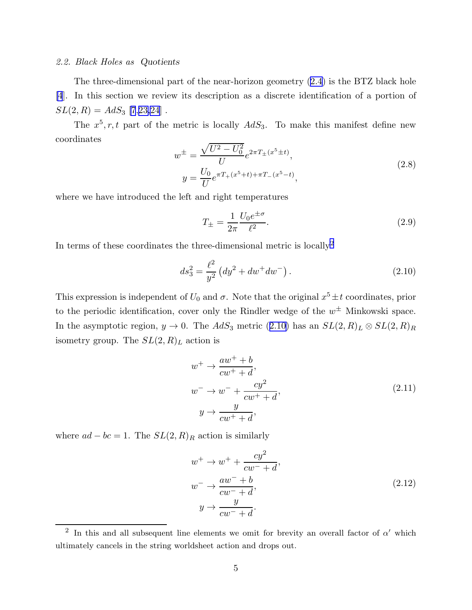## <span id="page-5-0"></span>2.2. Black Holes as Quotients

The three-dimensional part of the near-horizon geometry([2.4](#page-4-0)) is the BTZ black hole [\[4](#page-24-0)]. In this section we review its description as a discrete identification of a portion of  $SL(2, R) = AdS_3$  [\[7](#page-24-0),[23,24](#page-24-0)].

The  $x^5$ , r, t part of the metric is locally  $AdS_3$ . To make this manifest define new coordinates

$$
w^{\pm} = \frac{\sqrt{U^2 - U_0^2}}{U} e^{2\pi T_{\pm}(x^5 \pm t)},
$$
  
\n
$$
y = \frac{U_0}{U} e^{\pi T_{+}(x^5 + t) + \pi T_{-}(x^5 - t)},
$$
\n(2.8)

where we have introduced the left and right temperatures

$$
T_{\pm} = \frac{1}{2\pi} \frac{U_0 e^{\pm \sigma}}{\ell^2}.
$$
 (2.9)

In terms of these coordinates the three-dimensional metric is locally<br> $\rm ^2$ 

$$
ds_3^2 = \frac{\ell^2}{y^2} \left( dy^2 + dw^+ dw^- \right). \tag{2.10}
$$

This expression is independent of  $U_0$  and  $\sigma$ . Note that the original  $x^5 \pm t$  coordinates, prior to the periodic identification, cover only the Rindler wedge of the  $w^{\pm}$  Minkowski space. In the asymptotic region,  $y \to 0$ . The  $AdS_3$  metric (2.10) has an  $SL(2,R)_L \otimes SL(2,R)_R$ isometry group. The  $SL(2, R)<sub>L</sub>$  action is

$$
w^{+} \rightarrow \frac{aw^{+} + b}{cw^{+} + d},
$$
  
\n
$$
w^{-} \rightarrow w^{-} + \frac{cy^{2}}{cw^{+} + d},
$$
  
\n
$$
y \rightarrow \frac{y}{cw^{+} + d},
$$
\n(2.11)

where  $ad - bc = 1$ . The  $SL(2, R)<sub>R</sub>$  action is similarly

$$
w^{+} \rightarrow w^{+} + \frac{cy^{2}}{cw^{-} + d},
$$
  
\n
$$
w^{-} \rightarrow \frac{aw^{-} + b}{cw^{-} + d},
$$
  
\n
$$
y \rightarrow \frac{y}{cw^{-} + d}.
$$
\n(2.12)

<sup>&</sup>lt;sup>2</sup> In this and all subsequent line elements we omit for brevity an overall factor of  $\alpha'$  which ultimately cancels in the string worldsheet action and drops out.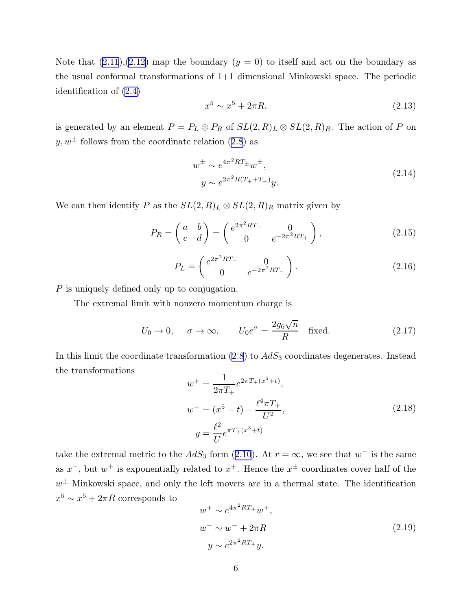<span id="page-6-0"></span>Note that  $(2.11),(2.12)$  $(2.11),(2.12)$  map the boundary  $(y = 0)$  to itself and act on the boundary as the usual conformal transformations of 1+1 dimensional Minkowski space. The periodic identification of [\(2.4\)](#page-4-0)

$$
x^5 \sim x^5 + 2\pi R,\tag{2.13}
$$

is generated by an element  $P = P_L \otimes P_R$  of  $SL(2, R)_L \otimes SL(2, R)_R$ . The action of P on  $y, w^{\pm}$  $y, w^{\pm}$  $y, w^{\pm}$  follows from the coordinate relation ([2.8](#page-5-0)) as

$$
w^{\pm} \sim e^{4\pi^2 RT_{\pm}} w^{\pm},
$$
  
\n
$$
y \sim e^{2\pi^2 R(T_{+} + T_{-})} y.
$$
\n(2.14)

We can then identify P as the  $SL(2, R)_L \otimes SL(2, R)_R$  matrix given by

$$
P_R = \begin{pmatrix} a & b \\ c & d \end{pmatrix} = \begin{pmatrix} e^{2\pi^2 RT_+} & 0 \\ 0 & e^{-2\pi^2 RT_+} \end{pmatrix},
$$
(2.15)

$$
P_L = \begin{pmatrix} e^{2\pi^2 RT_-} & 0\\ 0 & e^{-2\pi^2 RT_-} \end{pmatrix}.
$$
 (2.16)

P is uniquely defined only up to conjugation.

The extremal limit with nonzero momentum charge is

$$
U_0 \to 0
$$
,  $\sigma \to \infty$ ,  $U_0 e^{\sigma} = \frac{2g_6\sqrt{n}}{R}$  fixed. (2.17)

In this limit the coordinate transformation  $(2.8)$  to  $AdS_3$  coordinates degenerates. Instead the transformations

$$
w^{+} = \frac{1}{2\pi T_{+}} e^{2\pi T_{+}(x^{5}+t)},
$$
  
\n
$$
w^{-} = (x^{5} - t) - \frac{\ell^{4} \pi T_{+}}{U^{2}},
$$
  
\n
$$
y = \frac{\ell^{2}}{U} e^{\pi T_{+}(x^{5}+t)}
$$
\n(2.18)

takethe extremal metric to the  $AdS_3$  form ([2.10](#page-5-0)). At  $r = \infty$ , we see that  $w^-$  is the same as  $x^{-}$ , but  $w^{+}$  is exponentially related to  $x^{+}$ . Hence the  $x^{\pm}$  coordinates cover half of the  $w^{\pm}$  Minkowski space, and only the left movers are in a thermal state. The identification  $x^5 \sim x^5 + 2\pi R$  corresponds to

$$
w^{+} \sim e^{4\pi^{2}RT_{+}}w^{+},
$$
  
\n
$$
w^{-} \sim w^{-} + 2\pi R
$$
  
\n
$$
y \sim e^{2\pi^{2}RT_{+}}y.
$$
\n(2.19)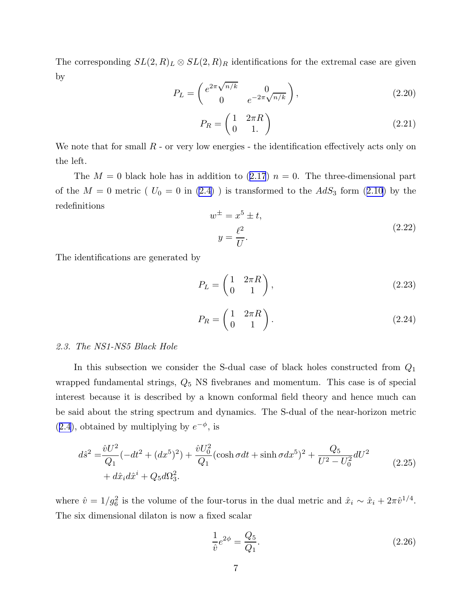<span id="page-7-0"></span>The corresponding  $SL(2, R)_L \otimes SL(2, R)_R$  identifications for the extremal case are given by

$$
P_L = \begin{pmatrix} e^{2\pi\sqrt{n/k}} & 0\\ 0 & e^{-2\pi\sqrt{n/k}} \end{pmatrix},\tag{2.20}
$$

$$
P_R = \begin{pmatrix} 1 & 2\pi R \\ 0 & 1. \end{pmatrix} \tag{2.21}
$$

We note that for small  $R$  - or very low energies - the identification effectively acts only on the left.

The $M = 0$  black hole has in addition to  $(2.17)$  $(2.17)$  $(2.17)$   $n = 0$ . The three-dimensional part ofthe  $M = 0$  metric (  $U_0 = 0$  in [\(2.4\)](#page-4-0)) is transformed to the  $AdS_3$  form ([2.10\)](#page-5-0) by the redefinitions

$$
w^{\pm} = x^5 \pm t,
$$
  
\n
$$
y = \frac{\ell^2}{U}.
$$
\n(2.22)

The identifications are generated by

$$
P_L = \begin{pmatrix} 1 & 2\pi R \\ 0 & 1 \end{pmatrix},\tag{2.23}
$$

$$
P_R = \begin{pmatrix} 1 & 2\pi R \\ 0 & 1 \end{pmatrix}.
$$
 (2.24)

## 2.3. The NS1-NS5 Black Hole

In this subsection we consider the S-dual case of black holes constructed from  $Q_1$ wrapped fundamental strings,  $Q_5$  NS fivebranes and momentum. This case is of special interest because it is described by a known conformal field theory and hence much can be said about the string spectrum and dynamics. The S-dual of the near-horizon metric ([2.4](#page-4-0)), obtained by multiplying by  $e^{-\phi}$ , is

$$
d\hat{s}^{2} = \frac{\hat{v}U^{2}}{Q_{1}}(-dt^{2} + (dx^{5})^{2}) + \frac{\hat{v}U_{0}^{2}}{Q_{1}}(\cosh \sigma dt + \sinh \sigma dx^{5})^{2} + \frac{Q_{5}}{U^{2} - U_{0}^{2}}dU^{2} + d\hat{x}_{i}d\hat{x}^{i} + Q_{5}d\Omega_{3}^{2}.
$$
\n(2.25)

where  $\hat{v} = 1/g_6^2$  is the volume of the four-torus in the dual metric and  $\hat{x}_i \sim \hat{x}_i + 2\pi \hat{v}^{1/4}$ . The six dimensional dilaton is now a fixed scalar

$$
\frac{1}{\hat{v}}e^{2\phi} = \frac{Q_5}{Q_1}.
$$
\n(2.26)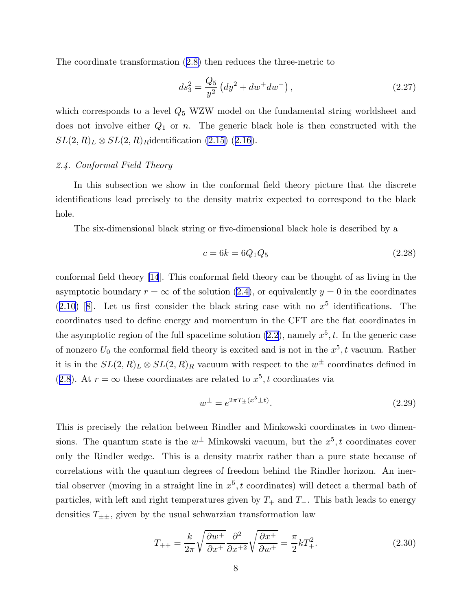The coordinate transformation([2.8\)](#page-5-0) then reduces the three-metric to

$$
ds_3^2 = \frac{Q_5}{y^2} \left( dy^2 + dw^+ dw^- \right), \tag{2.27}
$$

which corresponds to a level  $Q_5$  WZW model on the fundamental string worldsheet and does not involve either  $Q_1$  or n. The generic black hole is then constructed with the  $SL(2, R)_L \otimes SL(2, R)_R$ identification [\(2.15\)](#page-6-0) ([2.16](#page-6-0)).

# 2.4. Conformal Field Theory

In this subsection we show in the conformal field theory picture that the discrete identifications lead precisely to the density matrix expected to correspond to the black hole.

The six-dimensional black string or five-dimensional black hole is described by a

$$
c = 6k = 6Q_1Q_5 \t\t(2.28)
$$

conformal field theory [\[14](#page-24-0)]. This conformal field theory can be thought of as living in the asymptotic boundary  $r = \infty$  of the solution [\(2.4\)](#page-4-0), or equivalently  $y = 0$  in the coordinates  $(2.10)$  $(2.10)$  $(2.10)$ [[8\]](#page-24-0). Let us first consider the black string case with no  $x^5$  identifications. The coordinates used to define energy and momentum in the CFT are the flat coordinates in the asymptotic region of the full spacetime solution  $(2.2)$ , namely  $x^5$ , t. In the generic case of nonzero  $U_0$  the conformal field theory is excited and is not in the  $x^5$ , t vacuum. Rather it is in the  $SL(2, R)<sub>L</sub> \otimes SL(2, R)<sub>R</sub>$  vacuum with respect to the  $w^{\pm}$  coordinates defined in ([2.8](#page-5-0)). At  $r = \infty$  these coordinates are related to  $x^5$ , t coordinates via

$$
w^{\pm} = e^{2\pi T_{\pm}(x^5 \pm t)}.
$$
\n(2.29)

This is precisely the relation between Rindler and Minkowski coordinates in two dimensions. The quantum state is the  $w^{\pm}$  Minkowski vacuum, but the  $x^5$ , t coordinates cover only the Rindler wedge. This is a density matrix rather than a pure state because of correlations with the quantum degrees of freedom behind the Rindler horizon. An inertial observer (moving in a straight line in  $x^5$ , t coordinates) will detect a thermal bath of particles, with left and right temperatures given by  $T_+$  and  $T_-.$  This bath leads to energy densities  $T_{\pm\pm}$ , given by the usual schwarzian transformation law

$$
T_{++} = \frac{k}{2\pi} \sqrt{\frac{\partial w^+}{\partial x^+}} \frac{\partial^2}{\partial x^{+2}} \sqrt{\frac{\partial x^+}{\partial w^+}} = \frac{\pi}{2} k T_+^2.
$$
 (2.30)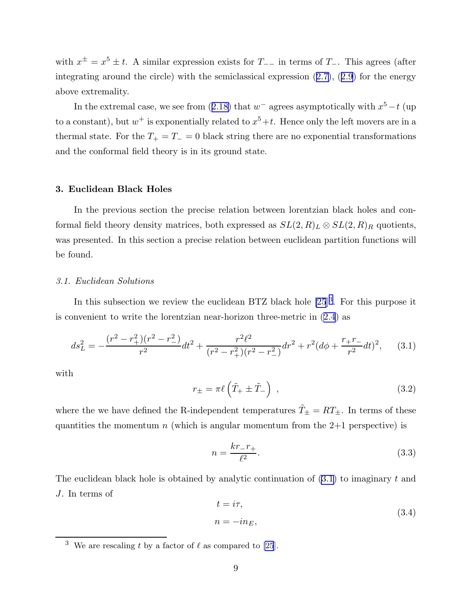with  $x^{\pm} = x^5 \pm t$ . A similar expression exists for  $T_{--}$  in terms of  $T_{-}$ . This agrees (after integratingaround the circle) with the semiclassical expression  $(2.7)$  $(2.7)$ ,  $(2.9)$  $(2.9)$  for the energy above extremality.

Inthe extremal case, we see from  $(2.18)$  $(2.18)$  that  $w^-$  agrees asymptotically with  $x^5-t$  (up to a constant), but  $w^+$  is exponentially related to  $x^5+t$ . Hence only the left movers are in a thermal state. For the  $T_+ = T_- = 0$  black string there are no exponential transformations and the conformal field theory is in its ground state.

## 3. Euclidean Black Holes

In the previous section the precise relation between lorentzian black holes and conformal field theory density matrices, both expressed as  $SL(2, R)_L \otimes SL(2, R)_R$  quotients, was presented. In this section a precise relation between euclidean partition functions will be found.

## 3.1. Euclidean Solutions

In this subsection we review the euclidean BTZ black hole  $[25]^3$ . For this purpose it is convenient to write the lorentzian near-horizon three-metric in([2.4](#page-4-0)) as

$$
ds_L^2 = -\frac{(r^2 - r_+^2)(r^2 - r_-^2)}{r^2}dt^2 + \frac{r^2\ell^2}{(r^2 - r_+^2)(r^2 - r_-^2)}dr^2 + r^2(d\phi + \frac{r_+r_-}{r^2}dt)^2, \quad (3.1)
$$

with

$$
r_{\pm} = \pi \ell \left( \tilde{T}_{+} \pm \tilde{T}_{-} \right) , \qquad (3.2)
$$

where the we have defined the R-independent temperatures  $\tilde{T}_\pm = RT_\pm$ . In terms of these quantities the momentum n (which is angular momentum from the  $2+1$  perspective) is

$$
n = \frac{kr - r_{+}}{\ell^{2}}.\t(3.3)
$$

The euclidean black hole is obtained by analytic continuation of  $(3.1)$  to imaginary t and J. In terms of

$$
t = i\tau,
$$
  
\n
$$
n = -in_E,
$$
\n(3.4)

<sup>&</sup>lt;sup>3</sup> We are rescaling t by a factor of  $\ell$  as compared to [\[25](#page-24-0)].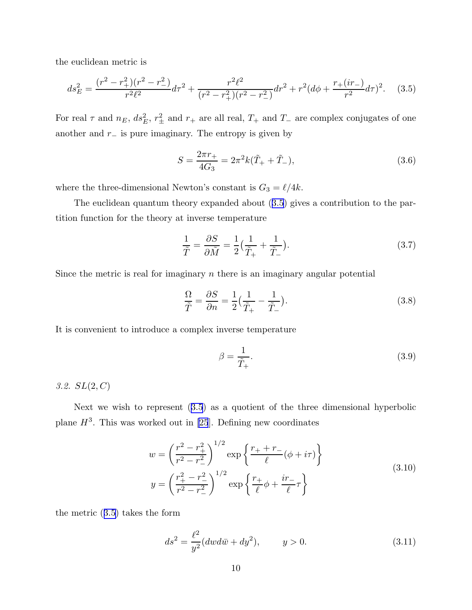<span id="page-10-0"></span>the euclidean metric is

$$
ds_E^2 = \frac{(r^2 - r_+^2)(r^2 - r_-^2)}{r^2 \ell^2} d\tau^2 + \frac{r^2 \ell^2}{(r^2 - r_+^2)(r^2 - r_-^2)} dr^2 + r^2 (d\phi + \frac{r_+(ir_-)}{r^2} d\tau)^2.
$$
 (3.5)

For real  $\tau$  and  $n_E$ ,  $ds_E^2$ ,  $r_{\pm}^2$  and  $r_{+}$  are all real,  $T_{+}$  and  $T_{-}$  are complex conjugates of one another and  $r_$  is pure imaginary. The entropy is given by

$$
S = \frac{2\pi r_+}{4G_3} = 2\pi^2 k(\tilde{T}_+ + \tilde{T}_-),
$$
\n(3.6)

where the three-dimensional Newton's constant is  $G_3 = \ell/4k$ .

The euclidean quantum theory expanded about (3.5) gives a contribution to the partition function for the theory at inverse temperature

$$
\frac{1}{\tilde{T}} = \frac{\partial S}{\partial \tilde{M}} = \frac{1}{2} \left( \frac{1}{\tilde{T}_{+}} + \frac{1}{\tilde{T}_{-}} \right).
$$
\n(3.7)

Since the metric is real for imaginary  $n$  there is an imaginary angular potential

$$
\frac{\Omega}{\tilde{T}} = \frac{\partial S}{\partial n} = \frac{1}{2} \left( \frac{1}{\tilde{T}_{+}} - \frac{1}{\tilde{T}_{-}} \right).
$$
\n(3.8)

It is convenient to introduce a complex inverse temperature

$$
\beta = \frac{1}{\tilde{T}_+}.\tag{3.9}
$$

3.2.  $SL(2, C)$ 

Next we wish to represent (3.5) as a quotient of the three dimensional hyperbolic plane  $H^3$ . This was worked out in [\[25](#page-24-0)]. Defining new coordinates

$$
w = \left(\frac{r^2 - r_+^2}{r^2 - r_-^2}\right)^{1/2} \exp\left\{\frac{r_+ + r_-}{\ell}(\phi + i\tau)\right\}
$$
  

$$
y = \left(\frac{r_+^2 - r_-^2}{r^2 - r_-^2}\right)^{1/2} \exp\left\{\frac{r_+}{\ell}\phi + \frac{ir_-}{\ell}\tau\right\}
$$
 (3.10)

the metric (3.5) takes the form

$$
ds^{2} = \frac{\ell^{2}}{y^{2}}(dw d\bar{w} + dy^{2}), \qquad y > 0.
$$
 (3.11)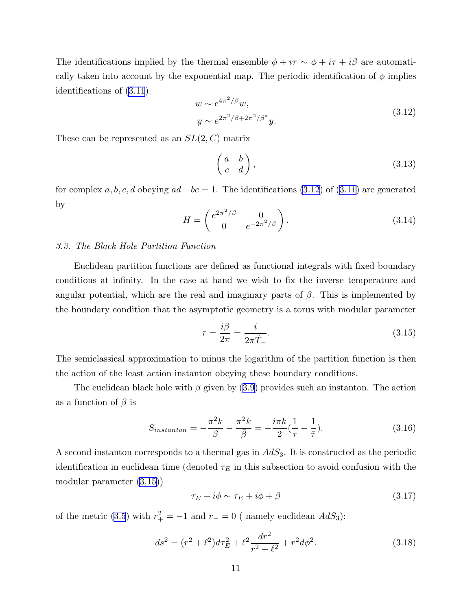<span id="page-11-0"></span>The identifications implied by the thermal ensemble  $\phi + i\tau \sim \phi + i\tau + i\beta$  are automatically taken into account by the exponential map. The periodic identification of  $\phi$  implies identifications of([3.11](#page-10-0)):

$$
w \sim e^{4\pi^2/\beta} w,
$$
  
\n
$$
y \sim e^{2\pi^2/\beta + 2\pi^2/\beta^*} y.
$$
\n(3.12)

These can be represented as an  $SL(2, C)$  matrix

$$
\begin{pmatrix} a & b \\ c & d \end{pmatrix},\tag{3.13}
$$

forcomplex a, b, c, d obeying  $ad-bc=1$ . The identifications (3.12) of ([3.11](#page-10-0)) are generated by

$$
H = \begin{pmatrix} e^{2\pi^2/\beta} & 0\\ 0 & e^{-2\pi^2/\beta} \end{pmatrix} . \tag{3.14}
$$

#### 3.3. The Black Hole Partition Function

Euclidean partition functions are defined as functional integrals with fixed boundary conditions at infinity. In the case at hand we wish to fix the inverse temperature and angular potential, which are the real and imaginary parts of  $\beta$ . This is implemented by the boundary condition that the asymptotic geometry is a torus with modular parameter

$$
\tau = \frac{i\beta}{2\pi} = \frac{i}{2\pi \tilde{T}_+}.\tag{3.15}
$$

The semiclassical approximation to minus the logarithm of the partition function is then the action of the least action instanton obeying these boundary conditions.

Theeuclidean black hole with  $\beta$  given by ([3.9](#page-10-0)) provides such an instanton. The action as a function of  $\beta$  is

$$
S_{instanton} = -\frac{\pi^2 k}{\beta} - \frac{\pi^2 k}{\bar{\beta}} = -\frac{i\pi k}{2} \left(\frac{1}{\tau} - \frac{1}{\bar{\tau}}\right).
$$
 (3.16)

A second instanton corresponds to a thermal gas in  $AdS_3$ . It is constructed as the periodic identification in euclidean time (denoted  $\tau_E$  in this subsection to avoid confusion with the modular parameter (3.15))

$$
\tau_E + i\phi \sim \tau_E + i\phi + \beta \tag{3.17}
$$

of the metric [\(3.5](#page-10-0)) with  $r_+^2 = -1$  and  $r_-=0$  ( namely euclidean  $AdS_3$ ):

$$
ds^{2} = (r^{2} + \ell^{2})d\tau_{E}^{2} + \ell^{2} \frac{dr^{2}}{r^{2} + \ell^{2}} + r^{2}d\phi^{2}.
$$
 (3.18)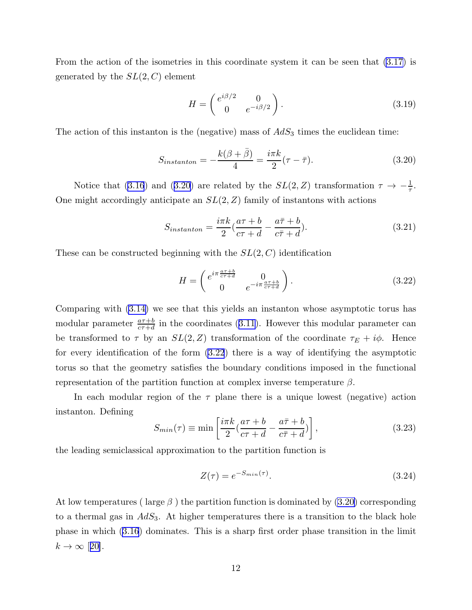<span id="page-12-0"></span>From the action of the isometries in this coordinate system it can be seen that [\(3.17\)](#page-11-0) is generated by the  $SL(2, C)$  element

$$
H = \begin{pmatrix} e^{i\beta/2} & 0\\ 0 & e^{-i\beta/2} \end{pmatrix}.
$$
 (3.19)

The action of this instanton is the (negative) mass of  $AdS_3$  times the euclidean time:

$$
S_{instanton} = -\frac{k(\beta + \bar{\beta})}{4} = \frac{i\pi k}{2}(\tau - \bar{\tau}).
$$
\n(3.20)

Noticethat ([3.16](#page-11-0)) and (3.20) are related by the  $SL(2, Z)$  transformation  $\tau \to -\frac{1}{\tau}$ . One might accordingly anticipate an  $SL(2, Z)$  family of instantons with actions

$$
S_{instanton} = \frac{i\pi k}{2} \left(\frac{a\tau + b}{c\tau + d} - \frac{a\bar{\tau} + b}{c\bar{\tau} + d}\right).
$$
 (3.21)

These can be constructed beginning with the  $SL(2, C)$  identification

$$
H = \begin{pmatrix} e^{i\pi \frac{a\tau + b}{c\tau + d}} & 0\\ 0 & e^{-i\pi \frac{a\tau + b}{c\tau + d}} \end{pmatrix}.
$$
 (3.22)

Comparing with [\(3.14\)](#page-11-0) we see that this yields an instanton whose asymptotic torus has modularparameter  $\frac{a\tau+b}{c\tau+d}$  in the coordinates ([3.11](#page-10-0)). However this modular parameter can be transformed to  $\tau$  by an  $SL(2, Z)$  transformation of the coordinate  $\tau_E + i\phi$ . Hence for every identification of the form (3.22) there is a way of identifying the asymptotic torus so that the geometry satisfies the boundary conditions imposed in the functional representation of the partition function at complex inverse temperature β.

In each modular region of the  $\tau$  plane there is a unique lowest (negative) action instanton. Defining

$$
S_{min}(\tau) \equiv \min\left[\frac{i\pi k}{2}(\frac{a\tau + b}{c\tau + d} - \frac{a\bar{\tau} + b}{c\bar{\tau} + d})\right],\tag{3.23}
$$

the leading semiclassical approximation to the partition function is

$$
Z(\tau) = e^{-S_{min}(\tau)}.
$$
\n
$$
(3.24)
$$

At low temperatures ( large  $\beta$  ) the partition function is dominated by (3.20) corresponding to a thermal gas in  $AdS_3$ . At higher temperatures there is a transition to the black hole phase in which([3.16](#page-11-0)) dominates. This is a sharp first order phase transition in the limit  $k \to \infty$  [[20\]](#page-24-0).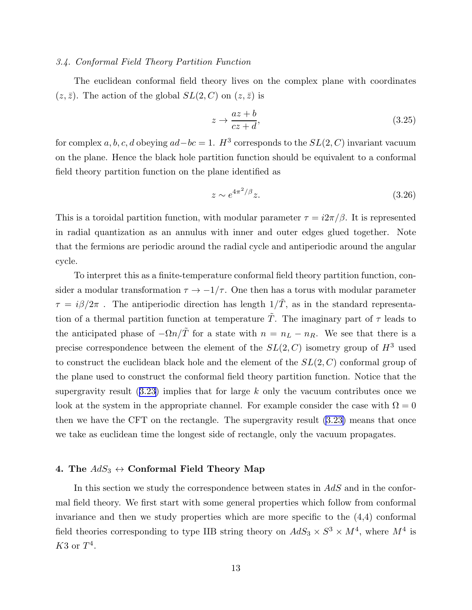# 3.4. Conformal Field Theory Partition Function

The euclidean conformal field theory lives on the complex plane with coordinates  $(z, \bar{z})$ . The action of the global  $SL(2, C)$  on  $(z, \bar{z})$  is

$$
z \to \frac{az+b}{cz+d},\tag{3.25}
$$

for complex  $a, b, c, d$  obeying  $ad - bc = 1$ .  $H^3$  corresponds to the  $SL(2, C)$  invariant vacuum on the plane. Hence the black hole partition function should be equivalent to a conformal field theory partition function on the plane identified as

$$
z \sim e^{4\pi^2/\beta} z. \tag{3.26}
$$

This is a toroidal partition function, with modular parameter  $\tau = i2\pi/\beta$ . It is represented in radial quantization as an annulus with inner and outer edges glued together. Note that the fermions are periodic around the radial cycle and antiperiodic around the angular cycle.

To interpret this as a finite-temperature conformal field theory partition function, consider a modular transformation  $\tau \to -1/\tau$ . One then has a torus with modular parameter  $\tau = i\beta/2\pi$ . The antiperiodic direction has length  $1/\tilde{T}$ , as in the standard representation of a thermal partition function at temperature  $\tilde{T}$ . The imaginary part of  $\tau$  leads to the anticipated phase of  $-\Omega n/\tilde{T}$  for a state with  $n = n_L - n_R$ . We see that there is a precise correspondence between the element of the  $SL(2, C)$  isometry group of  $H^3$  used to construct the euclidean black hole and the element of the  $SL(2, C)$  conformal group of the plane used to construct the conformal field theory partition function. Notice that the supergravityresult  $(3.23)$  $(3.23)$  $(3.23)$  implies that for large k only the vacuum contributes once we look at the system in the appropriate channel. For example consider the case with  $\Omega = 0$ then we have the CFT on the rectangle. The supergravity result [\(3.23\)](#page-12-0) means that once we take as euclidean time the longest side of rectangle, only the vacuum propagates.

# 4. The  $AdS_3 \leftrightarrow$  Conformal Field Theory Map

In this section we study the correspondence between states in  $AdS$  and in the conformal field theory. We first start with some general properties which follow from conformal invariance and then we study properties which are more specific to the (4,4) conformal field theories corresponding to type IIB string theory on  $AdS_3 \times S^3 \times M^4$ , where  $M^4$  is  $K3$  or  $T^4$ .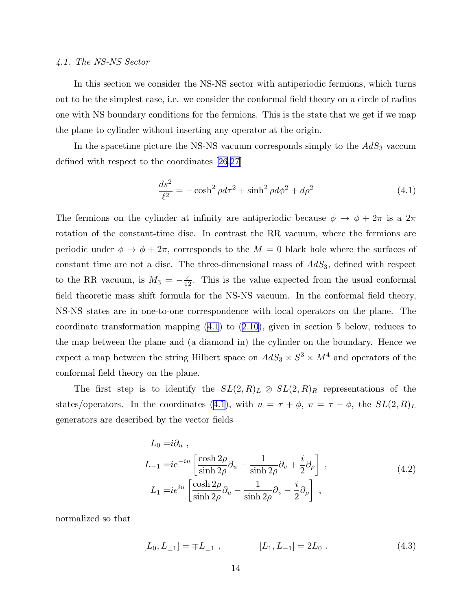# <span id="page-14-0"></span>4.1. The NS-NS Sector

In this section we consider the NS-NS sector with antiperiodic fermions, which turns out to be the simplest case, i.e. we consider the conformal field theory on a circle of radius one with NS boundary conditions for the fermions. This is the state that we get if we map the plane to cylinder without inserting any operator at the origin.

In the spacetime picture the NS-NS vacuum corresponds simply to the  $AdS<sub>3</sub>$  vaccum defined with respect to the coordinates [\[26](#page-24-0),[27\]](#page-24-0)

$$
\frac{ds^2}{\ell^2} = -\cosh^2 \rho d\tau^2 + \sinh^2 \rho d\phi^2 + d\rho^2
$$
 (4.1)

The fermions on the cylinder at infinity are antiperiodic because  $\phi \to \phi + 2\pi$  is a  $2\pi$ rotation of the constant-time disc. In contrast the RR vacuum, where the fermions are periodic under  $\phi \to \phi + 2\pi$ , corresponds to the  $M = 0$  black hole where the surfaces of constant time are not a disc. The three-dimensional mass of  $AdS_3$ , defined with respect to the RR vacuum, is  $M_3 = -\frac{c}{12}$ . This is the value expected from the usual conformal field theoretic mass shift formula for the NS-NS vacuum. In the conformal field theory, NS-NS states are in one-to-one correspondence with local operators on the plane. The coordinate transformation mapping (4.1) to [\(2.10\)](#page-5-0), given in section 5 below, reduces to the map between the plane and (a diamond in) the cylinder on the boundary. Hence we expect a map between the string Hilbert space on  $AdS_3 \times S^3 \times M^4$  and operators of the conformal field theory on the plane.

The first step is to identify the  $SL(2,R)_L \otimes SL(2,R)_R$  representations of the states/operators. In the coordinates (4.1), with  $u = \tau + \phi$ ,  $v = \tau - \phi$ , the  $SL(2,R)<sub>L</sub>$ generators are described by the vector fields

$$
L_0 = i\partial_u ,
$$
  
\n
$$
L_{-1} = ie^{-iu} \left[ \frac{\cosh 2\rho}{\sinh 2\rho} \partial_u - \frac{1}{\sinh 2\rho} \partial_v + \frac{i}{2} \partial_\rho \right] ,
$$
  
\n
$$
L_1 = ie^{iu} \left[ \frac{\cosh 2\rho}{\sinh 2\rho} \partial_u - \frac{1}{\sinh 2\rho} \partial_v - \frac{i}{2} \partial_\rho \right] ,
$$
\n(4.2)

normalized so that

$$
[L_0, L_{\pm 1}] = \mp L_{\pm 1} , \qquad [L_1, L_{-1}] = 2L_0 . \qquad (4.3)
$$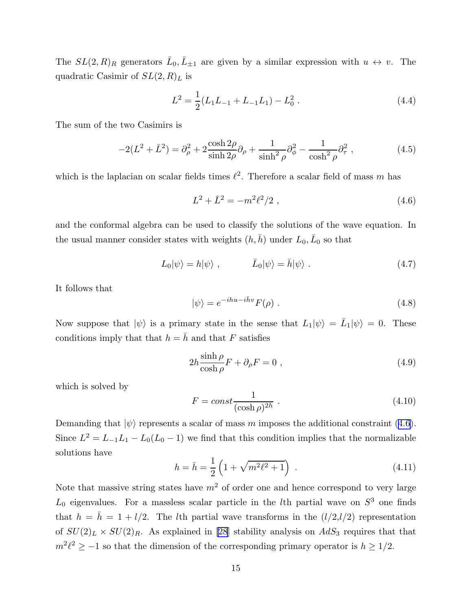<span id="page-15-0"></span>The  $SL(2,R)_R$  generators  $\bar{L}_0, \bar{L}_{\pm 1}$  are given by a similar expression with  $u \leftrightarrow v$ . The quadratic Casimir of  $SL(2, R)<sub>L</sub>$  is

$$
L^{2} = \frac{1}{2}(L_{1}L_{-1} + L_{-1}L_{1}) - L_{0}^{2}. \qquad (4.4)
$$

The sum of the two Casimirs is

$$
-2(L^2 + \bar{L}^2) = \partial_{\rho}^2 + 2\frac{\cosh 2\rho}{\sinh 2\rho}\partial_{\rho} + \frac{1}{\sinh^2 \rho}\partial_{\phi}^2 - \frac{1}{\cosh^2 \rho}\partial_{\tau}^2,
$$
 (4.5)

which is the laplacian on scalar fields times  $\ell^2$ . Therefore a scalar field of mass m has

$$
L^2 + \bar{L}^2 = -m^2 \ell^2 / 2 \tag{4.6}
$$

and the conformal algebra can be used to classify the solutions of the wave equation. In the usual manner consider states with weights  $(h, \bar{h})$  under  $L_0, \bar{L}_0$  so that

$$
L_0|\psi\rangle = h|\psi\rangle , \qquad \bar{L}_0|\psi\rangle = \bar{h}|\psi\rangle . \qquad (4.7)
$$

It follows that

$$
|\psi\rangle = e^{-ihu - i\bar{h}v} F(\rho) . \qquad (4.8)
$$

Now suppose that  $|\psi\rangle$  is a primary state in the sense that  $L_1|\psi\rangle = \bar{L}_1|\psi\rangle = 0$ . These conditions imply that that  $h = \overline{h}$  and that F satisfies

$$
2h \frac{\sinh \rho}{\cosh \rho} F + \partial_{\rho} F = 0 , \qquad (4.9)
$$

which is solved by

$$
F = const \frac{1}{(\cosh \rho)^{2h}} . \tag{4.10}
$$

Demanding that  $|\psi\rangle$  represents a scalar of mass m imposes the additional constraint (4.6). Since  $L^2 = L_{-1}L_1 - L_0(L_0 - 1)$  we find that this condition implies that the normalizable solutions have

$$
h = \bar{h} = \frac{1}{2} \left( 1 + \sqrt{m^2 \ell^2 + 1} \right) \tag{4.11}
$$

Note that massive string states have  $m<sup>2</sup>$  of order one and hence correspond to very large  $L_0$  eigenvalues. For a massless scalar particle in the *l*th partial wave on  $S^3$  one finds that  $h = \bar{h} = 1 + l/2$ . The *l*th partial wave transforms in the  $(l/2, l/2)$  representation of  $SU(2)_L \times SU(2)_R$ . As explained in [\[28](#page-24-0)] stability analysis on  $AdS_3$  requires that that  $m^2\ell^2 \geq -1$  so that the dimension of the corresponding primary operator is  $h \geq 1/2$ .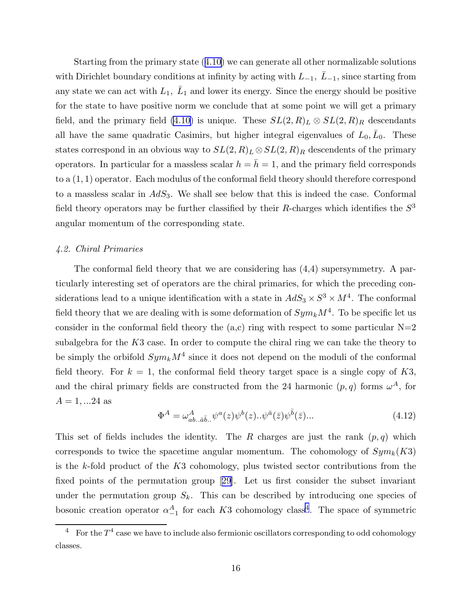Starting from the primary state([4.10](#page-15-0)) we can generate all other normalizable solutions with Dirichlet boundary conditions at infinity by acting with  $L_{-1}$ ,  $\bar{L}_{-1}$ , since starting from any state we can act with  $L_1$ ,  $\bar{L}_1$  and lower its energy. Since the energy should be positive for the state to have positive norm we conclude that at some point we will get a primary field, and the primary field [\(4.10\)](#page-15-0) is unique. These  $SL(2,R)_L \otimes SL(2,R)_R$  descendants all have the same quadratic Casimirs, but higher integral eigenvalues of  $L_0, \bar{L}_0$ . These states correspond in an obvious way to  $SL(2, R)<sub>L</sub> \otimes SL(2, R)<sub>R</sub>$  descendents of the primary operators. In particular for a massless scalar  $h = \bar{h} = 1$ , and the primary field corresponds to a (1, 1) operator. Each modulus of the conformal field theory should therefore correspond to a massless scalar in  $AdS_3$ . We shall see below that this is indeed the case. Conformal field theory operators may be further classified by their R-charges which identifies the  $S<sup>3</sup>$ angular momentum of the corresponding state.

# 4.2. Chiral Primaries

The conformal field theory that we are considering has (4,4) supersymmetry. A particularly interesting set of operators are the chiral primaries, for which the preceding considerations lead to a unique identification with a state in  $AdS_3 \times S^3 \times M^4$ . The conformal field theory that we are dealing with is some deformation of  $Sym_k M^4$ . To be specific let us consider in the conformal field theory the  $(a, c)$  ring with respect to some particular  $N=2$ subalgebra for the  $K3$  case. In order to compute the chiral ring we can take the theory to be simply the orbifold  $Sym_k M^4$  since it does not depend on the moduli of the conformal field theory. For  $k = 1$ , the conformal field theory target space is a single copy of K3, and the chiral primary fields are constructed from the 24 harmonic  $(p, q)$  forms  $\omega^A$ , for  $A = 1, ...24$  as

$$
\Phi^A = \omega^A_{ab..a\bar{b}..} \psi^a(z) \psi^b(z)..\psi^{\bar{a}}(\bar{z}) \psi^{\bar{b}}(\bar{z})... \tag{4.12}
$$

This set of fields includes the identity. The R charges are just the rank  $(p, q)$  which corresponds to twice the spacetime angular momentum. The cohomology of  $Sym_k(K3)$ is the k-fold product of the  $K3$  cohomology, plus twisted sector contributions from the fixed points of the permutation group[[29\]](#page-24-0). Let us first consider the subset invariant under the permutation group  $S_k$ . This can be described by introducing one species of bosonic creation operator  $\alpha_{-1}^A$  for each K3 cohomology class<sup>4</sup>. The space of symmetric

<sup>&</sup>lt;sup>4</sup> For the  $T^4$  case we have to include also fermionic oscillators corresponding to odd cohomology classes.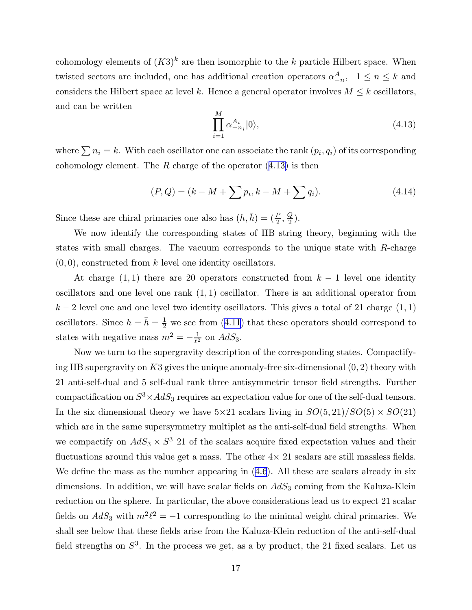cohomology elements of  $(K3)^k$  are then isomorphic to the k particle Hilbert space. When twisted sectors are included, one has additional creation operators  $\alpha_{-n}^A$ ,  $1 \leq n \leq k$  and considers the Hilbert space at level k. Hence a general operator involves  $M \leq k$  oscillators, and can be written

$$
\prod_{i=1}^{M} \alpha_{-n_i}^{A_i} |0\rangle, \tag{4.13}
$$

where  $\sum n_i = k$ . With each oscillator one can associate the rank  $(p_i, q_i)$  of its corresponding cohomology element. The R charge of the operator  $(4.13)$  is then

$$
(P,Q) = (k - M + \sum p_i, k - M + \sum q_i). \tag{4.14}
$$

Since these are chiral primaries one also has  $(h, \bar{h}) = (\frac{P}{2}, \frac{Q}{2})$  $\frac{2}{2}$ ).

We now identify the corresponding states of IIB string theory, beginning with the states with small charges. The vacuum corresponds to the unique state with R-charge  $(0, 0)$ , constructed from k level one identity oscillators.

At charge  $(1, 1)$  there are 20 operators constructed from  $k - 1$  level one identity oscillators and one level one rank  $(1, 1)$  oscillator. There is an additional operator from  $k-2$  level one and one level two identity oscillators. This gives a total of 21 charge  $(1, 1)$ oscillators. Since  $h = \bar{h} = \frac{1}{2}$  we see from [\(4.11](#page-15-0)) that these operators should correspond to states with negative mass  $m^2 = -\frac{1}{\ell^2}$  $\frac{1}{\ell^2}$  on  $AdS_3$ .

Now we turn to the supergravity description of the corresponding states. Compactifying IIB supergravity on K3 gives the unique anomaly-free six-dimensional  $(0, 2)$  theory with 21 anti-self-dual and 5 self-dual rank three antisymmetric tensor field strengths. Further compactification on  $S^3 \times AdS_3$  requires an expectation value for one of the self-dual tensors. In the six dimensional theory we have  $5\times21$  scalars living in  $SO(5, 21)/SO(5) \times SO(21)$ which are in the same supersymmetry multiplet as the anti-self-dual field strengths. When we compactify on  $AdS_3 \times S^3$  21 of the scalars acquire fixed expectation values and their fluctuations around this value get a mass. The other  $4 \times 21$  scalars are still massless fields. We define the mass as the number appearing in  $(4.6)$ . All these are scalars already in six dimensions. In addition, we will have scalar fields on  $AdS_3$  coming from the Kaluza-Klein reduction on the sphere. In particular, the above considerations lead us to expect 21 scalar fields on  $AdS_3$  with  $m^2\ell^2 = -1$  corresponding to the minimal weight chiral primaries. We shall see below that these fields arise from the Kaluza-Klein reduction of the anti-self-dual field strengths on  $S^3$ . In the process we get, as a by product, the 21 fixed scalars. Let us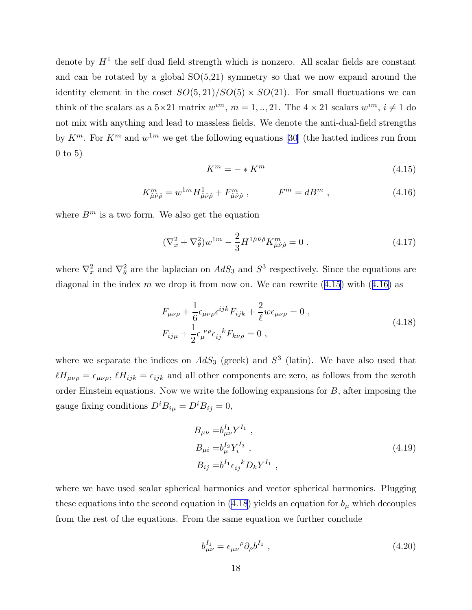<span id="page-18-0"></span>denote by  $H<sup>1</sup>$  the self dual field strength which is nonzero. All scalar fields are constant and can be rotated by a global  $SO(5,21)$  symmetry so that we now expand around the identity element in the coset  $SO(5, 21)/SO(5) \times SO(21)$ . For small fluctuations we can think of the scalars as a  $5\times 21$  matrix  $w^{im}$ ,  $m = 1, ..., 21$ . The  $4 \times 21$  scalars  $w^{im}$ ,  $i \neq 1$  do not mix with anything and lead to massless fields. We denote the anti-dual-field strengths by  $K^m$ . For  $K^m$  and  $w^{1m}$  we get the following equations [\[30](#page-24-0)] (the hatted indices run from 0 to 5)

$$
K^m = -*K^m \tag{4.15}
$$

$$
K_{\hat{\mu}\hat{\nu}\hat{\rho}}^m = w^{1m} H_{\hat{\mu}\hat{\nu}\hat{\rho}}^1 + F_{\hat{\mu}\hat{\nu}\hat{\rho}}^m , \qquad F^m = dB^m , \qquad (4.16)
$$

where  $B<sup>m</sup>$  is a two form. We also get the equation

$$
(\nabla_x^2 + \nabla_\theta^2) w^{1m} - \frac{2}{3} H^{1\hat{\mu}\hat{\nu}\hat{\rho}} K^m_{\hat{\mu}\hat{\nu}\hat{\rho}} = 0 \tag{4.17}
$$

where  $\nabla_x^2$  and  $\nabla_\theta^2$  are the laplacian on  $AdS_3$  and  $S^3$  respectively. Since the equations are diagonal in the index  $m$  we drop it from now on. We can rewrite  $(4.15)$  with  $(4.16)$  as

$$
F_{\mu\nu\rho} + \frac{1}{6} \epsilon_{\mu\nu\rho} \epsilon^{ijk} F_{ijk} + \frac{2}{\ell} w \epsilon_{\mu\nu\rho} = 0 ,
$$
  
\n
$$
F_{ij\mu} + \frac{1}{2} \epsilon_{\mu}^{\ \nu\rho} \epsilon_{ij}^{\ \ k} F_{k\nu\rho} = 0 ,
$$
\n(4.18)

where we separate the indices on  $AdS_3$  (greek) and  $S^3$  (latin). We have also used that  $\ell H_{\mu\nu\rho} = \epsilon_{\mu\nu\rho}$ ,  $\ell H_{ijk} = \epsilon_{ijk}$  and all other components are zero, as follows from the zeroth order Einstein equations. Now we write the following expansions for  $B$ , after imposing the gauge fixing conditions  $D^i B_{i\mu} = D^i B_{ij} = 0$ ,

$$
B_{\mu\nu} = b_{\mu\nu}^{I_1} Y^{I_1} ,
$$
  
\n
$$
B_{\mu i} = b_{\mu}^{I_3} Y_i^{I_3} ,
$$
  
\n
$$
B_{ij} = b^{I_1} \epsilon_{ij}^k D_k Y^{I_1} ,
$$
\n(4.19)

where we have used scalar spherical harmonics and vector spherical harmonics. Plugging these equations into the second equation in (4.18) yields an equation for  $b_{\mu}$  which decouples from the rest of the equations. From the same equation we further conclude

$$
b_{\mu\nu}^{I_1} = \epsilon_{\mu\nu}{}^{\rho} \partial_{\rho} b^{I_1} \tag{4.20}
$$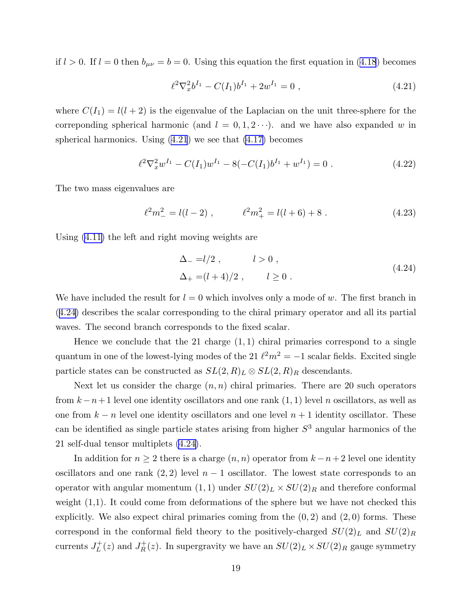if $l > 0$ . If  $l = 0$  then  $b_{\mu\nu} = b = 0$ . Using this equation the first equation in ([4.18](#page-18-0)) becomes

$$
\ell^2 \nabla_x^2 b^{I_1} - C(I_1) b^{I_1} + 2 w^{I_1} = 0 , \qquad (4.21)
$$

where  $C(I_1) = l(l+2)$  is the eigenvalue of the Laplacian on the unit three-sphere for the correponding spherical harmonic (and  $l = 0, 1, 2 \cdots$ ). and we have also expanded w in spherical harmonics. Using  $(4.21)$  we see that  $(4.17)$  becomes

$$
\ell^2 \nabla_x^2 w^{I_1} - C(I_1) w^{I_1} - 8(-C(I_1) b^{I_1} + w^{I_1}) = 0.
$$
 (4.22)

The two mass eigenvalues are

$$
\ell^2 m_-^2 = l(l-2) , \qquad \ell^2 m_+^2 = l(l+6) + 8 . \qquad (4.23)
$$

Using [\(4.11\)](#page-15-0) the left and right moving weights are

$$
\Delta_{-} = l/2 , \qquad l > 0 ,
$$
  
\n
$$
\Delta_{+} = (l+4)/2 , \qquad l \ge 0 .
$$
\n(4.24)

We have included the result for  $l = 0$  which involves only a mode of w. The first branch in (4.24) describes the scalar corresponding to the chiral primary operator and all its partial waves. The second branch corresponds to the fixed scalar.

Hence we conclude that the 21 charge  $(1, 1)$  chiral primaries correspond to a single quantum in one of the lowest-lying modes of the 21  $\ell^2 m^2 = -1$  scalar fields. Excited single particle states can be constructed as  $SL(2, R)_L \otimes SL(2, R)_R$  descendants.

Next let us consider the charge  $(n, n)$  chiral primaries. There are 20 such operators from  $k - n + 1$  level one identity oscillators and one rank  $(1, 1)$  level n oscillators, as well as one from  $k - n$  level one identity oscillators and one level  $n + 1$  identity oscillator. These can be identified as single particle states arising from higher  $S<sup>3</sup>$  angular harmonics of the 21 self-dual tensor multiplets (4.24).

In addition for  $n \geq 2$  there is a charge  $(n, n)$  operator from  $k - n + 2$  level one identity oscillators and one rank  $(2, 2)$  level  $n - 1$  oscillator. The lowest state corresponds to an operator with angular momentum  $(1, 1)$  under  $SU(2)_L \times SU(2)_R$  and therefore conformal weight  $(1,1)$ . It could come from deformations of the sphere but we have not checked this explicitly. We also expect chiral primaries coming from the  $(0, 2)$  and  $(2, 0)$  forms. These correspond in the conformal field theory to the positively-charged  $SU(2)_L$  and  $SU(2)_R$ currents  $J_L^+$  $L_L^+(z)$  and  $J_R^+(z)$ . In supergravity we have an  $SU(2)_L \times SU(2)_R$  gauge symmetry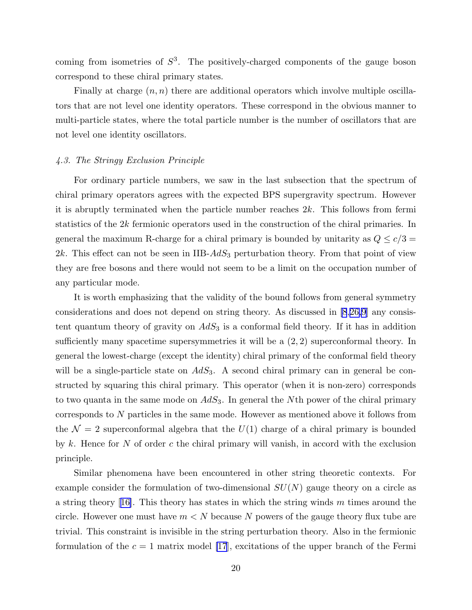coming from isometries of  $S^3$ . The positively-charged components of the gauge boson correspond to these chiral primary states.

Finally at charge  $(n, n)$  there are additional operators which involve multiple oscillators that are not level one identity operators. These correspond in the obvious manner to multi-particle states, where the total particle number is the number of oscillators that are not level one identity oscillators.

# 4.3. The Stringy Exclusion Principle

For ordinary particle numbers, we saw in the last subsection that the spectrum of chiral primary operators agrees with the expected BPS supergravity spectrum. However it is abruptly terminated when the particle number reaches 2k. This follows from fermi statistics of the 2k fermionic operators used in the construction of the chiral primaries. In general the maximum R-charge for a chiral primary is bounded by unitarity as  $Q \le c/3$  =  $2k$ . This effect can not be seen in IIB- $AdS_3$  perturbation theory. From that point of view they are free bosons and there would not seem to be a limit on the occupation number of any particular mode.

It is worth emphasizing that the validity of the bound follows from general symmetry considerations and does not depend on string theory. As discussed in [\[8](#page-24-0),[26,9](#page-24-0)] any consistent quantum theory of gravity on  $AdS_3$  is a conformal field theory. If it has in addition sufficiently many spacetime supersymmetries it will be a  $(2, 2)$  superconformal theory. In general the lowest-charge (except the identity) chiral primary of the conformal field theory will be a single-particle state on  $AdS_3$ . A second chiral primary can in general be constructed by squaring this chiral primary. This operator (when it is non-zero) corresponds to two quanta in the same mode on  $AdS_3$ . In general the Nth power of the chiral primary corresponds to N particles in the same mode. However as mentioned above it follows from the  $\mathcal{N} = 2$  superconformal algebra that the  $U(1)$  charge of a chiral primary is bounded by k. Hence for N of order c the chiral primary will vanish, in accord with the exclusion principle.

Similar phenomena have been encountered in other string theoretic contexts. For example consider the formulation of two-dimensional  $SU(N)$  gauge theory on a circle as astring theory [[16\]](#page-24-0). This theory has states in which the string winds  $m$  times around the circle. However one must have  $m < N$  because N powers of the gauge theory flux tube are trivial. This constraint is invisible in the string perturbation theory. Also in the fermionic formulation of the  $c = 1$  matrix model [\[17](#page-24-0)], excitations of the upper branch of the Fermi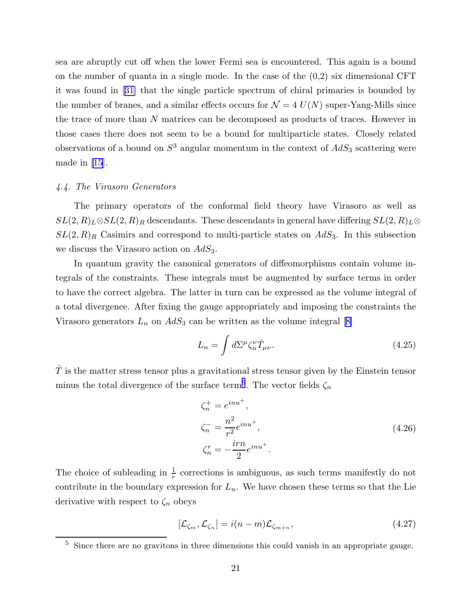<span id="page-21-0"></span>sea are abruptly cut off when the lower Fermi sea is encountered. This again is a bound on the number of quanta in a single mode. In the case of the  $(0,2)$  six dimensional CFT it was found in[[31\]](#page-24-0) that the single particle spectrum of chiral primaries is bounded by the number of branes, and a similar effects occurs for  $\mathcal{N} = 4$   $U(N)$  super-Yang-Mills since the trace of more than N matrices can be decomposed as products of traces. However in those cases there does not seem to be a bound for multiparticle states. Closely related observations of a bound on  $S^3$  angular momentum in the context of  $AdS_3$  scattering were made in [\[15](#page-24-0)].

# 4.4. The Virasoro Generators

The primary operators of the conformal field theory have Virasoro as well as  $SL(2, R)_L \otimes SL(2, R)_R$  descendants. These descendants in general have differing  $SL(2, R)_L \otimes$  $SL(2, R)_R$  Casimirs and correspond to multi-particle states on  $AdS_3$ . In this subsection we discuss the Virasoro action on  $AdS_3$ .

In quantum gravity the canonical generators of diffeomorphisms contain volume integrals of the constraints. These integrals must be augmented by surface terms in order to have the correct algebra. The latter in turn can be expressed as the volume integral of a total divergence. After fixing the gauge appropriately and imposing the constraints the Virasorogenerators  $L_n$  on  $AdS_3$  can be written as the volume integral [[8\]](#page-24-0)

$$
L_n = \int d\Sigma^{\mu} \zeta_n^{\nu} \hat{T}_{\mu\nu}.
$$
\n(4.25)

 $\hat{T}$  is the matter stress tensor plus a gravitational stress tensor given by the Einstein tensor minus the total divergence of the surface term<sup>5</sup>. The vector fields  $\zeta_n$ 

$$
\zeta_n^+ = e^{inu^+},
$$
  
\n
$$
\zeta_n^- = \frac{n^2}{r^2} e^{inu^+},
$$
  
\n
$$
\zeta_n^r = -\frac{irn}{2} e^{inu^+}.
$$
\n(4.26)

The choice of subleading in  $\frac{1}{r}$  corrections is ambiguous, as such terms manifestly do not contribute in the boundary expression for  $L_n$ . We have chosen these terms so that the Lie derivative with respect to  $\zeta_n$  obeys

$$
[\mathcal{L}_{\zeta_m}, \mathcal{L}_{\zeta_n}] = i(n-m)\mathcal{L}_{\zeta_{m+n}},
$$
\n(4.27)

<sup>&</sup>lt;sup>5</sup> Since there are no gravitons in three dimensions this could vanish in an appropriate gauge.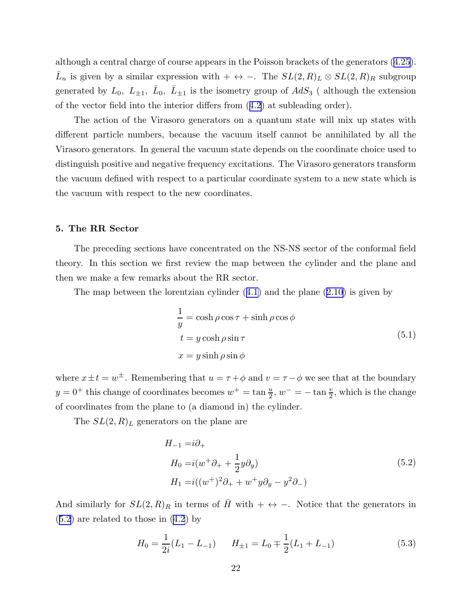although a central charge of course appears in the Poisson brackets of the generators([4.25](#page-21-0)).  $\bar{L}_n$  is given by a similar expression with + ↔ -. The  $SL(2,R)_L \otimes SL(2,R)_R$  subgroup generated by  $L_0$ ,  $L_{\pm 1}$ ,  $\bar{L}_0$ ,  $\bar{L}_{\pm 1}$  is the isometry group of  $AdS_3$  (although the extension of the vector field into the interior differs from([4.2](#page-14-0)) at subleading order).

The action of the Virasoro generators on a quantum state will mix up states with different particle numbers, because the vacuum itself cannot be annihilated by all the Virasoro generators. In general the vacuum state depends on the coordinate choice used to distinguish positive and negative frequency excitations. The Virasoro generators transform the vacuum defined with respect to a particular coordinate system to a new state which is the vacuum with respect to the new coordinates.

# 5. The RR Sector

The preceding sections have concentrated on the NS-NS sector of the conformal field theory. In this section we first review the map between the cylinder and the plane and then we make a few remarks about the RR sector.

Themap between the lorentzian cylinder  $(4.1)$  $(4.1)$  and the plane  $(2.10)$  $(2.10)$  $(2.10)$  is given by

$$
\frac{1}{y} = \cosh \rho \cos \tau + \sinh \rho \cos \phi
$$
  
\n
$$
t = y \cosh \rho \sin \tau
$$
  
\n
$$
x = y \sinh \rho \sin \phi
$$
\n(5.1)

where  $x \pm t = w^{\pm}$ . Remembering that  $u = \tau + \phi$  and  $v = \tau - \phi$  we see that at the boundary  $y = 0^+$  this change of coordinates becomes  $w^+ = \tan \frac{u}{2}$ ,  $w^- = -\tan \frac{v}{2}$ , which is the change of coordinates from the plane to (a diamond in) the cylinder.

The  $SL(2, R)<sub>L</sub>$  generators on the plane are

$$
H_{-1} = i\partial_+
$$
  
\n
$$
H_0 = i(w^+ \partial_+ + \frac{1}{2}y \partial_y)
$$
  
\n
$$
H_1 = i((w^+)^2 \partial_+ + w^+ y \partial_y - y^2 \partial_-)
$$
\n(5.2)

And similarly for  $SL(2, R)_R$  in terms of  $\overline{H}$  with + ↔ −. Notice that the generators in (5.2) are related to those in([4.2](#page-14-0)) by

$$
H_0 = \frac{1}{2i}(L_1 - L_{-1}) \qquad H_{\pm 1} = L_0 \mp \frac{1}{2}(L_1 + L_{-1}) \tag{5.3}
$$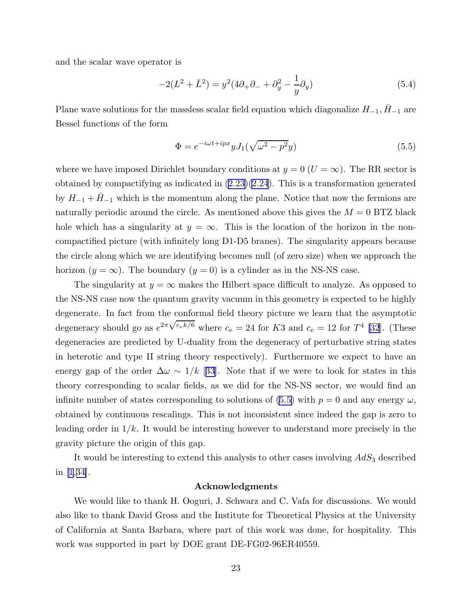and the scalar wave operator is

$$
-2(L^{2} + \bar{L}^{2}) = y^{2}(4\partial_{+}\partial_{-} + \partial_{y}^{2} - \frac{1}{y}\partial_{y})
$$
\n(5.4)

Plane wave solutions for the massless scalar field equation which diagonalize  $H_{-1}$ ,  $\bar{H}_{-1}$  are Bessel functions of the form

$$
\Phi = e^{-i\omega t + ipx} y J_1(\sqrt{\omega^2 - p^2} y) \tag{5.5}
$$

where we have imposed Dirichlet boundary conditions at  $y = 0$  ( $U = \infty$ ). The RR sector is obtained by compactifying as indicated in  $(2.23)(2.24)$  $(2.23)(2.24)$  $(2.23)(2.24)$ . This is a transformation generated by  $H_{-1} + H_{-1}$  which is the momentum along the plane. Notice that now the fermions are naturally periodic around the circle. As mentioned above this gives the  $M = 0$  BTZ black hole which has a singularity at  $y = \infty$ . This is the location of the horizon in the noncompactified picture (with infinitely long D1-D5 branes). The singularity appears because the circle along which we are identifying becomes null (of zero size) when we approach the horizon  $(y = \infty)$ . The boundary  $(y = 0)$  is a cylinder as in the NS-NS case.

The singularity at  $y = \infty$  makes the Hilbert space difficult to analyze. As opposed to the NS-NS case now the quantum gravity vacuum in this geometry is expected to be highly degenerate. In fact from the conformal field theory picture we learn that the asymptotic degeneracy should go as  $e^{2\pi\sqrt{c_e k/6}}$  where  $c_e = 24$  for K3 and  $c_e = 12$  for  $T^4$  [\[32](#page-24-0)]. (These degeneracies are predicted by U-duality from the degeneracy of perturbative string states in heterotic and type II string theory respectively). Furthermore we expect to have an energy gap of the order  $\Delta\omega \sim 1/k$  [[33\]](#page-24-0). Note that if we were to look for states in this theory corresponding to scalar fields, as we did for the NS-NS sector, we would find an infinite number of states corresponding to solutions of (5.5) with  $p = 0$  and any energy  $\omega$ , obtained by continuous rescalings. This is not inconsistent since indeed the gap is zero to leading order in  $1/k$ . It would be interesting however to understand more precisely in the gravity picture the origin of this gap.

It would be interesting to extend this analysis to other cases involving  $AdS_3$  described in [\[1](#page-24-0),[34\]](#page-24-0).

# Acknowledgments

We would like to thank H. Ooguri, J. Schwarz and C. Vafa for discussions. We would also like to thank David Gross and the Institute for Theoretical Physics at the University of California at Santa Barbara, where part of this work was done, for hospitality. This work was supported in part by DOE grant DE-FG02-96ER40559.